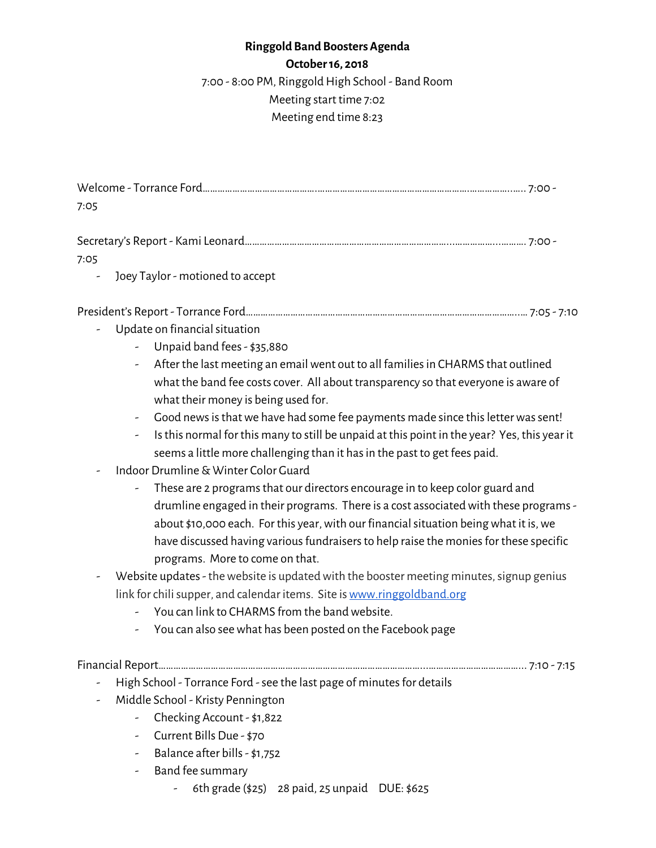# **Ringgold Band Boosters Agenda**

**October16, 2018**

7:00 - 8:00 PM, Ringgold High School - Band Room

## Meeting start time 7:02

#### Meeting end time 8:23

| 7:05 |  |
|------|--|

| 7:05 |  |
|------|--|

- Joey Taylor - motioned to accept

#### President's Report - Torrance Ford………………………………………………………………………………………………..… 7:05 - 7:10

- Update on financial situation
	- Unpaid band fees- \$35,880
	- After the last meeting an email went out to all families in CHARMS that outlined what the band fee costs cover. All about transparency so that everyone is aware of what their money is being used for.
	- Good news is that we have had some fee payments made since this letter was sent!
	- Isthis normal for this many to still be unpaid at this point in the year? Yes, this year it seems a little more challenging than it has in the past to get fees paid.
- Indoor Drumline& Winter Color Guard
	- These are 2 programs that our directors encourage in to keep color guard and drumline engaged in their programs. There is a cost associated with these programs about \$10,000 each. For this year, with our financial situation being what it is, we have discussed having various fundraisers to help raise the monies for these specific programs. More to come on that.
- Website updates the website is updated with the booster meeting minutes, signup genius link for chili supper, and calendar items. Site is [www.ringgoldband.org](http://www.ringgoldband.org/)
	- You can link to CHARMS from the band website.
	- You can also seewhat has been posted on the Facebook page

Financial Report……………………………………………………………………………………………...………………………………... 7:10 - 7:15

- High School Torrance Ford see the last page of minutes for details
- Middle School Kristy Pennington
	- Checking Account \$1,822
	- Current Bills Due \$70
	- Balance after bills- \$1,752
	- Band fee summary
		- 6th grade (\$25) 28 paid, 25 unpaid DUE: \$625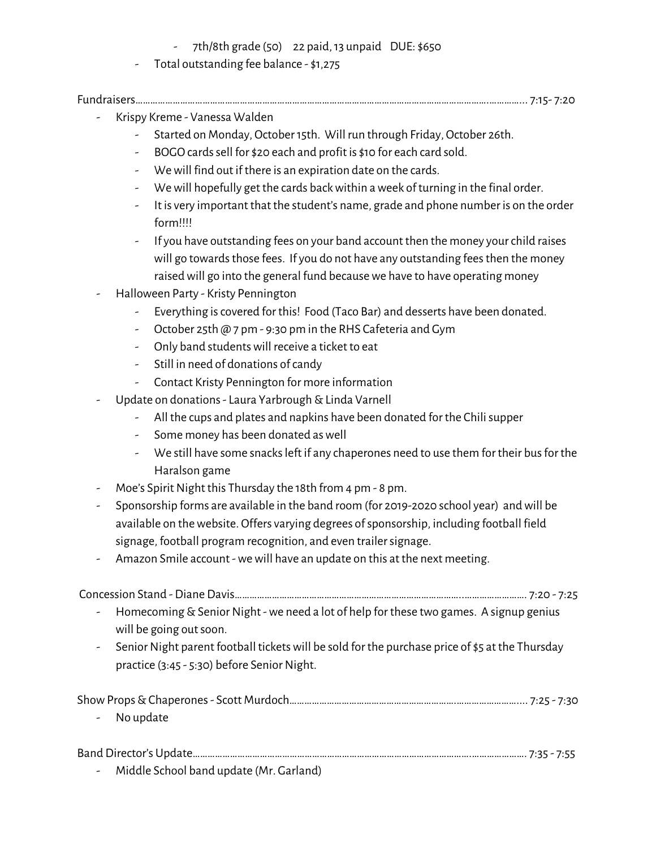- $7th/8th$  grade (50) 22 paid, 13 unpaid DUE:  $$650$
- Total outstanding fee balance \$1,275

#### Fundraisers…………………………………………………………………………………………………………………………….…………... 7:15- 7:20

- Krispy Kreme Vanessa Walden
	- Started on Monday, October15th. Will run through Friday, October 26th.
	- BOGO cards sell for \$20 each and profit is \$10 for each card sold.
	- Wewill find out if there is an expiration date on the cards.
	- Wewill hopefully get the cards backwithin aweek of turning in the final order.
	- It is very important that the student's name, grade and phone number is on the order form!!!!
	- If you have outstanding fees on your band account then the money yourchild raises will go towards those fees. If you do not have any outstanding fees then the money raised will go into the general fund because we have to have operating money
- Halloween Party Kristy Pennington
	- Everything iscovered for this! Food (Taco Bar) and desserts have been donated.
	- October 25th @ 7 pm 9:30 pm in the RHS Cafeteria and Gym
	- Only band studentswill receive a ticket to eat
	- Still in need of donations of candy
	- Contact Kristy Pennington for more information
- Update on donations Laura Yarbrough & Linda Varnell
	- All the cups and plates and napkins have been donated for the Chili supper
	- Some money has been donated as well
	- We still have some snacksleft if any chaperones need to use them for their busfor the Haralson game
- Moe's Spirit Night this Thursday the 18th from 4 pm 8 pm.
- Sponsorship forms are available in the band room (for 2019-2020 school year) andwill be available on the website. Offers varying degrees of sponsorship, including football field signage, football program recognition, and even trailer signage.
- Amazon Smile account -wewill have an update on this at the next meeting.

Concession Stand - Diane Davis………………………………………………………………………………..……………………. 7:20 - 7:25

- Homecoming&SeniorNight -we need a lot of help for these two games. A signup genius will be going out soon.
- Senior Night parent football tickets will be sold for the purchase price of \$5 at the Thursday practice (3:45 - 5:30) before Senior Night.

|--|--|

- No update

### Band Director's Update………………………………………………………………………………………………….…………………. 7:35 - 7:55

- Middle School band update (Mr. Garland)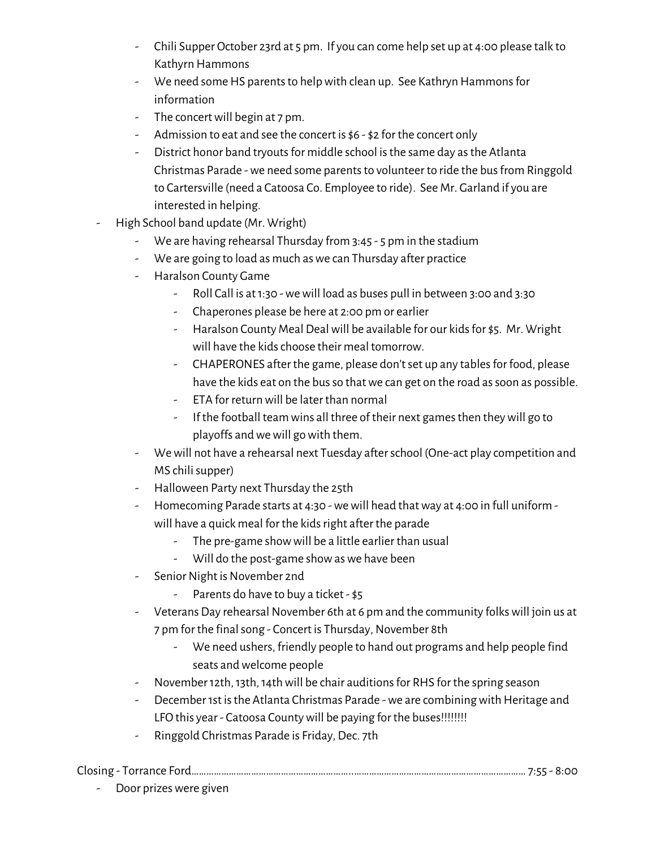- Chili Supper October 23rd at 5 pm. If you can come help set up at 4:00 please talk to Kathyrn Hammons
- We need some HS parents to help with clean up. See Kathryn Hammons for information
- The concert will begin at 7 pm.
- Admission to eat and see the concert is \$6 \$2 for the concert only
- District honor band tryouts for middle school is the same day as the Atlanta Christmas Parade - we need some parents to volunteer to ride the bus from Ringgold to Cartersville (need a Catoosa Co. Employee to ride). See Mr. Garland if you are interested in helping.
- High School band update (Mr. Wright)
	- We are having rehearsal Thursday from 3:45 5 pm in the stadium
	- We are going to load as much aswe can Thursday after practice
	- Haralson County Game
		- Roll Call is at1:30 -wewill load as buses pull in between 3:00 and 3:30
		- Chaperones please be here at 2:00 pm or earlier
		- Haralson County Meal Deal will be available for our kids for \$5. Mr. Wright will have the kids choose their meal tomorrow.
		- CHAPERONES after the game, please don't set up any tables for food, please have the kids eat on the bus so that we can get on the road as soon as possible.
		- ETA for return will be later than normal
		- If the football team wins all three of their next games then they will go to playoffs andwewill gowith them.
	- Wewill not have a rehearsal next Tuesday afterschool (One-act play competition and MS chilisupper)
	- Halloween Party next Thursday the 25th
	- Homecoming Parade starts at 4:30 -wewill head thatway at 4:00 in full uniform will have a quick meal for the kids right after the parade
		- The pre-game showwill be a little earlier than usual
		- Will do the post-game show as we have been
	- Senior Night is November 2nd
		- Parents do have to buy a ticket \$5
	- Veterans Day rehearsal November 6th at 6 pm and the community folks will join us at 7 pm for the final song - Concert is Thursday, November 8th
		- We need ushers, friendly people to hand out programs and help people find seats andwelcome people
	- November 12th, 13th, 14th will be chair auditions for RHS for the spring season
	- December 1st is the Atlanta Christmas Parade we are combining with Heritage and LFO this year - Catoosa County will be paying for the buses!!!!!!!!
	- Ringgold Christmas Parade is Friday, Dec. 7th

Closing - Torrance Ford………………………………………………………..…………………………………………………………… 7:55 - 8:00

- Door prizes were given